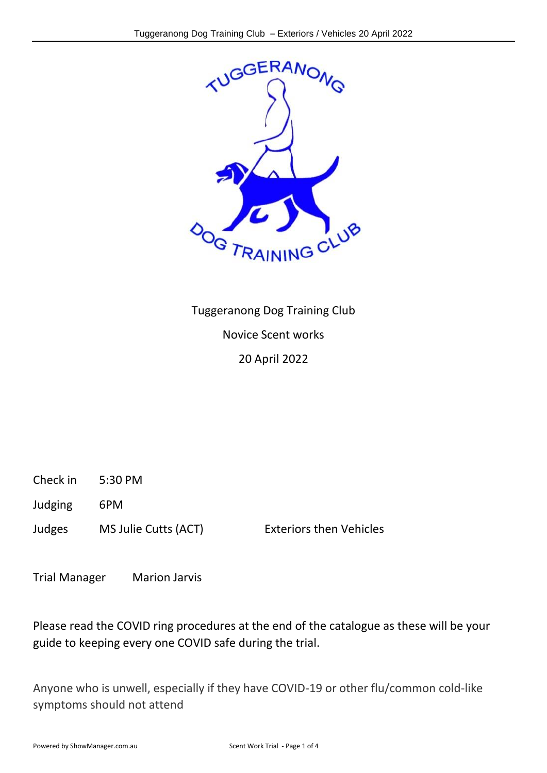

Tuggeranong Dog Training Club Novice Scent works 20 April 2022

Check in 5:30 PM

Judging 6PM

Judges MS Julie Cutts (ACT) Exteriors then Vehicles

Trial Manager Marion Jarvis

Please read the COVID ring procedures at the end of the catalogue as these will be your guide to keeping every one COVID safe during the trial.

Anyone who is unwell, especially if they have COVID-19 or other flu/common cold-like symptoms should not attend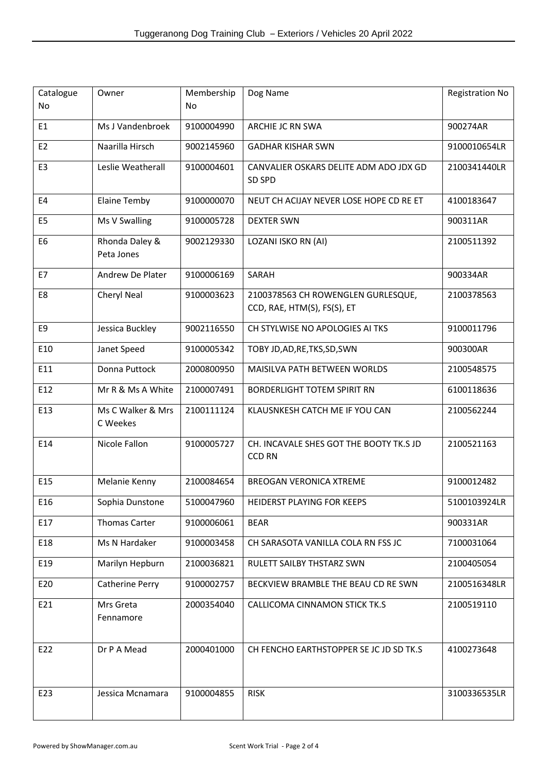| Catalogue<br>No | Owner                         | Membership<br>No | Dog Name                                                          | <b>Registration No</b> |
|-----------------|-------------------------------|------------------|-------------------------------------------------------------------|------------------------|
| E <sub>1</sub>  | Ms J Vandenbroek              | 9100004990       | ARCHIE JC RN SWA                                                  | 900274AR               |
| E <sub>2</sub>  | Naarilla Hirsch               | 9002145960       | <b>GADHAR KISHAR SWN</b>                                          | 9100010654LR           |
| E <sub>3</sub>  | Leslie Weatherall             | 9100004601       | CANVALIER OSKARS DELITE ADM ADO JDX GD<br>SD SPD                  | 2100341440LR           |
| E4              | <b>Elaine Temby</b>           | 9100000070       | NEUT CH ACIJAY NEVER LOSE HOPE CD RE ET                           | 4100183647             |
| E <sub>5</sub>  | Ms V Swalling                 | 9100005728       | <b>DEXTER SWN</b>                                                 | 900311AR               |
| E <sub>6</sub>  | Rhonda Daley &<br>Peta Jones  | 9002129330       | LOZANI ISKO RN (AI)                                               | 2100511392             |
| E7              | Andrew De Plater              | 9100006169       | SARAH                                                             | 900334AR               |
| E8              | Cheryl Neal                   | 9100003623       | 2100378563 CH ROWENGLEN GURLESQUE,<br>CCD, RAE, HTM(S), FS(S), ET | 2100378563             |
| E9              | Jessica Buckley               | 9002116550       | CH STYLWISE NO APOLOGIES AI TKS                                   | 9100011796             |
| E10             | Janet Speed                   | 9100005342       | TOBY JD, AD, RE, TKS, SD, SWN                                     | 900300AR               |
| E11             | Donna Puttock                 | 2000800950       | MAISILVA PATH BETWEEN WORLDS                                      | 2100548575             |
| E12             | Mr R & Ms A White             | 2100007491       | <b>BORDERLIGHT TOTEM SPIRIT RN</b>                                | 6100118636             |
| E13             | Ms C Walker & Mrs<br>C Weekes | 2100111124       | KLAUSNKESH CATCH ME IF YOU CAN                                    | 2100562244             |
| E14             | Nicole Fallon                 | 9100005727       | CH. INCAVALE SHES GOT THE BOOTY TK.S JD<br><b>CCD RN</b>          | 2100521163             |
| E15             | Melanie Kenny                 | 2100084654       | <b>BREOGAN VERONICA XTREME</b>                                    | 9100012482             |
| E16             | Sophia Dunstone               | 5100047960       | HEIDERST PLAYING FOR KEEPS                                        | 5100103924LR           |
| E17             | <b>Thomas Carter</b>          | 9100006061       | <b>BEAR</b>                                                       | 900331AR               |
| E18             | Ms N Hardaker                 | 9100003458       | CH SARASOTA VANILLA COLA RN FSS JC                                | 7100031064             |
| E19             | Marilyn Hepburn               | 2100036821       | RULETT SAILBY THSTARZ SWN                                         | 2100405054             |
| E20             | Catherine Perry               | 9100002757       | BECKVIEW BRAMBLE THE BEAU CD RE SWN                               | 2100516348LR           |
| E21             | Mrs Greta<br>Fennamore        | 2000354040       | CALLICOMA CINNAMON STICK TK.S                                     | 2100519110             |
| E22             | Dr P A Mead                   | 2000401000       | CH FENCHO EARTHSTOPPER SE JC JD SD TK.S                           | 4100273648             |
| E23             | Jessica Mcnamara              | 9100004855       | <b>RISK</b>                                                       | 3100336535LR           |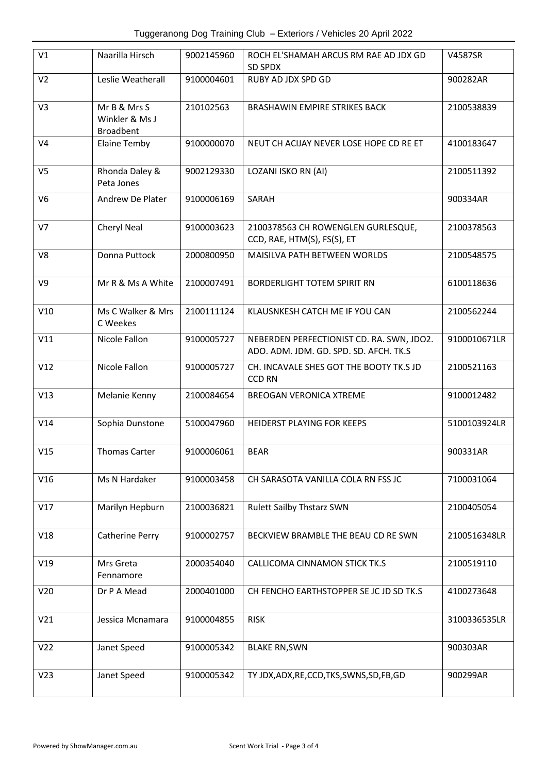| V1              | Naarilla Hirsch                                    | 9002145960 | ROCH EL'SHAMAH ARCUS RM RAE AD JDX GD<br>SD SPDX                                    | V4587SR      |
|-----------------|----------------------------------------------------|------------|-------------------------------------------------------------------------------------|--------------|
| V <sub>2</sub>  | Leslie Weatherall                                  | 9100004601 | RUBY AD JDX SPD GD                                                                  | 900282AR     |
| V3              | Mr B & Mrs S<br>Winkler & Ms J<br><b>Broadbent</b> | 210102563  | <b>BRASHAWIN EMPIRE STRIKES BACK</b>                                                | 2100538839   |
| V <sub>4</sub>  | <b>Elaine Temby</b>                                | 9100000070 | NEUT CH ACIJAY NEVER LOSE HOPE CD RE ET                                             | 4100183647   |
| V <sub>5</sub>  | Rhonda Daley &<br>Peta Jones                       | 9002129330 | LOZANI ISKO RN (AI)                                                                 | 2100511392   |
| V <sub>6</sub>  | Andrew De Plater                                   | 9100006169 | SARAH                                                                               | 900334AR     |
| V <sub>7</sub>  | Cheryl Neal                                        | 9100003623 | 2100378563 CH ROWENGLEN GURLESQUE,<br>CCD, RAE, HTM(S), FS(S), ET                   | 2100378563   |
| V8              | Donna Puttock                                      | 2000800950 | MAISILVA PATH BETWEEN WORLDS                                                        | 2100548575   |
| V9              | Mr R & Ms A White                                  | 2100007491 | <b>BORDERLIGHT TOTEM SPIRIT RN</b>                                                  | 6100118636   |
| V10             | Ms C Walker & Mrs<br>C Weekes                      | 2100111124 | KLAUSNKESH CATCH ME IF YOU CAN                                                      | 2100562244   |
| V11             | Nicole Fallon                                      | 9100005727 | NEBERDEN PERFECTIONIST CD. RA. SWN, JDO2.<br>ADO. ADM. JDM. GD. SPD. SD. AFCH. TK.S | 9100010671LR |
| V12             | Nicole Fallon                                      | 9100005727 | CH. INCAVALE SHES GOT THE BOOTY TK.S JD<br><b>CCD RN</b>                            | 2100521163   |
| V13             | Melanie Kenny                                      | 2100084654 | <b>BREOGAN VERONICA XTREME</b>                                                      | 9100012482   |
| V14             | Sophia Dunstone                                    | 5100047960 | HEIDERST PLAYING FOR KEEPS                                                          | 5100103924LR |
| V15             | <b>Thomas Carter</b>                               | 9100006061 | <b>BEAR</b>                                                                         | 900331AR     |
| V16             | Ms N Hardaker                                      | 9100003458 | CH SARASOTA VANILLA COLA RN FSS JC                                                  | 7100031064   |
| V17             | Marilyn Hepburn                                    | 2100036821 | <b>Rulett Sailby Thstarz SWN</b>                                                    | 2100405054   |
| V18             | Catherine Perry                                    | 9100002757 | BECKVIEW BRAMBLE THE BEAU CD RE SWN                                                 | 2100516348LR |
| V19             | Mrs Greta<br>Fennamore                             | 2000354040 | CALLICOMA CINNAMON STICK TK.S                                                       | 2100519110   |
| V <sub>20</sub> | Dr P A Mead                                        | 2000401000 | CH FENCHO EARTHSTOPPER SE JC JD SD TK.S                                             | 4100273648   |
| V21             | Jessica Mcnamara                                   | 9100004855 | <b>RISK</b>                                                                         | 3100336535LR |
| V <sub>22</sub> | Janet Speed                                        | 9100005342 | <b>BLAKE RN, SWN</b>                                                                | 900303AR     |
| V <sub>23</sub> | Janet Speed                                        | 9100005342 | TY JDX, ADX, RE, CCD, TKS, SWNS, SD, FB, GD                                         | 900299AR     |